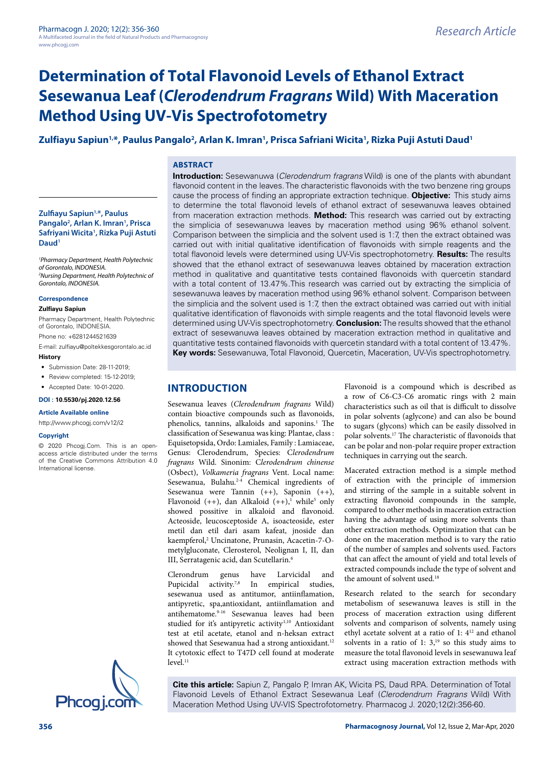# Zulfiayu Sapiun<sup>1,</sup>\*, Paulus Pangalo<sup>2</sup>, Arlan K. Imran<sup>1</sup>, Prisca Safriani Wicita<sup>1</sup>, Rizka Puji Astuti Daud<sup>1</sup>

## **ABSTRACT**

#### **Zulfiayu Sapiun1,\*, Paulus**  Pangalo<sup>2</sup>, Arlan K. Imran<sup>1</sup>, Prisca **Safriyani Wicita1 , Rizka Puji Astuti Daud1**

*1 Pharmacy Department, Health Polytechnic of Gorontalo, INDONESIA. 2 Nursing Department, Health Polytechnic of Gorontalo, INDONESIA.*

#### **Correspondence**

#### **Zulfiayu Sapiun**

Pharmacy Department, Health Polytechnic of Gorontalo, INDONESIA.

Phone no: +6281244521639

E-mail: [zulfiayu@poltekkesgorontalo.ac.id](mailto:zulfiayu@poltekkesgorontalo.ac.id)  **History**

- Submission Date: 28-11-2019; • Review completed: 15-12-2019;
- Accepted Date: 10-01-2020.
- 

# **DOI : 10.5530/pj.2020.12.56**

**Article Available online**  <http://www.phcogj.com/v12/i2>

#### **Copyright**

© 2020 Phcogj.Com. This is an openaccess article distributed under the terms of the Creative Commons Attribution 4.0 International license.



**Introduction:** Sesewanuwa (*Clerodendrum fragrans* Wild) is one of the plants with abundant flavonoid content in the leaves. The characteristic flavonoids with the two benzene ring groups cause the process of finding an appropriate extraction technique. **Objective:** This study aims to determine the total flavonoid levels of ethanol extract of sesewanuwa leaves obtained from maceration extraction methods. **Method:** This research was carried out by extracting the simplicia of sesewanuwa leaves by maceration method using 96% ethanol solvent. Comparison between the simplicia and the solvent used is 1:7, then the extract obtained was carried out with initial qualitative identification of flavonoids with simple reagents and the total flavonoid levels were determined using UV-Vis spectrophotometry. **Results:** The results showed that the ethanol extract of sesewanuwa leaves obtained by maceration extraction method in qualitative and quantitative tests contained flavonoids with quercetin standard with a total content of 13.47%.This research was carried out by extracting the simplicia of sesewanuwa leaves by maceration method using 96% ethanol solvent. Comparison between the simplicia and the solvent used is 1:7, then the extract obtained was carried out with initial qualitative identification of flavonoids with simple reagents and the total flavonoid levels were determined using UV-Vis spectrophotometry. **Conclusion:** The results showed that the ethanol extract of sesewanuwa leaves obtained by maceration extraction method in qualitative and quantitative tests contained flavonoids with quercetin standard with a total content of 13.47%. **Key words:** Sesewanuwa, Total Flavonoid, Quercetin, Maceration, UV-Vis spectrophotometry.

# **INTRODUCTION**

Sesewanua leaves (*Clerodendrum fragrans* Wild) contain bioactive compounds such as flavonoids, phenolics, tannins, alkaloids and saponins.<sup>1</sup> The classification of Sesewanua was king: Plantae, class : Equisetopsida, Ordo: Lamiales, Family : Lamiaceae, Genus: Clerodendrum, Species: C*lerodendrum fragrans* Wild. Sinonim: C*lerodendrum chinense* (Osbect), *Volkameria fragrans* Vent. Local name: Sesewanua, Bulahu.2-4 Chemical ingredients of Sesewanua were Tannin (++), Saponin (++), Flavonoid  $(++)$ , dan Alkaloid  $(+)$ , while<sup>5</sup> only showed possitive in alkaloid and flavonoid. Acteoside, leucosceptoside A, isoacteoside, ester metil dan etil dari asam kafeat, jnoside dan kaempferol,<sup>2</sup> Uncinatone, Prunasin, Acacetin-7-Ometylgluconate, Clerosterol, Neolignan I, II, dan III, Serratagenic acid, dan Scutellarin.<sup>6</sup>

Clerondrum genus have Larvicidal and Pupicidal activity.<sup>7,8</sup> In empirical studies, sesewanua used as antitumor, antiinflamation, antipyretic, spa,antioxidant, antiinflamation and antihematome.9-16 Sesewanua leaves had been studied for it's antipyretic activity<sup>1,10</sup> Antioxidant test at etil acetate, etanol and n-heksan extract showed that Sesewanua had a strong antioxidant.<sup>12</sup> It cytotoxic effect to T47D cell found at moderate  $level<sup>11</sup>$ 

Flavonoid is a compound which is described as a row of C6-C3-C6 aromatic rings with 2 main characteristics such as oil that is difficult to dissolve in polar solvents (aglycone) and can also be bound to sugars (glycons) which can be easily dissolved in polar solvents.17 The characteristic of flavonoids that can be polar and non-polar require proper extraction techniques in carrying out the search.

Macerated extraction method is a simple method of extraction with the principle of immersion and stirring of the sample in a suitable solvent in extracting flavonoid compounds in the sample, compared to other methods in maceration extraction having the advantage of using more solvents than other extraction methods. Optimization that can be done on the maceration method is to vary the ratio of the number of samples and solvents used. Factors that can affect the amount of yield and total levels of extracted compounds include the type of solvent and the amount of solvent used.<sup>18</sup>

Research related to the search for secondary metabolism of sesewanuwa leaves is still in the process of maceration extraction using different solvents and comparison of solvents, namely using ethyl acetate solvent at a ratio of 1: 412 and ethanol solvents in a ratio of 1:  $3$ ,<sup>19</sup> so this study aims to measure the total flavonoid levels in sesewanuwa leaf extract using maceration extraction methods with

**Cite this article:** Sapiun Z, Pangalo P, Imran AK, Wicita PS, Daud RPA. Determination of Total Flavonoid Levels of Ethanol Extract Sesewanua Leaf (*Clerodendrum Fragrans* Wild) With Maceration Method Using UV-VIS Spectrofotometry. Pharmacog J. 2020;12(2):356-60.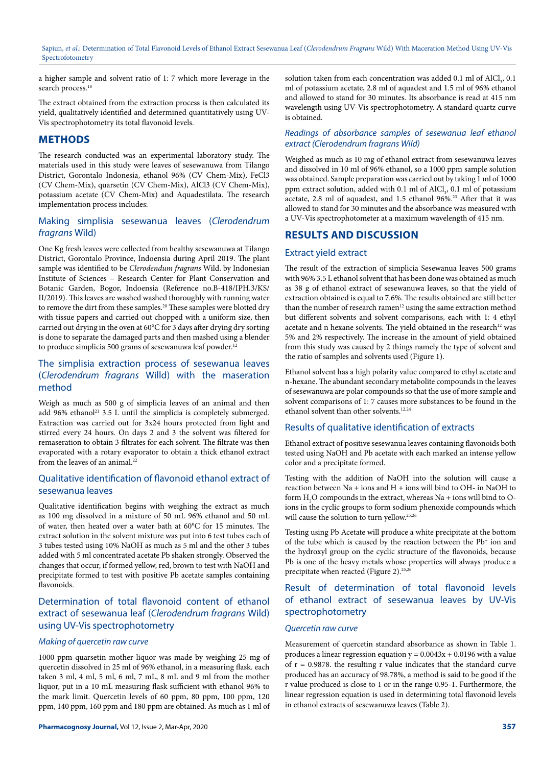a higher sample and solvent ratio of 1: 7 which more leverage in the search process.<sup>18</sup>

The extract obtained from the extraction process is then calculated its yield, qualitatively identified and determined quantitatively using UV-Vis spectrophotometry its total flavonoid levels.

# **METHODS**

The research conducted was an experimental laboratory study. The materials used in this study were leaves of sesewanuwa from Tilango District, Gorontalo Indonesia, ethanol 96% (CV Chem-Mix), FeCl3 (CV Chem-Mix), quarsetin (CV Chem-Mix), AlCl3 (CV Chem-Mix), potassium acetate (CV Chem-Mix) and Aquadestilata. The research implementation process includes:

# Making simplisia sesewanua leaves (*Clerodendrum fragrans* Wild)

One Kg fresh leaves were collected from healthy sesewanuwa at Tilango District, Gorontalo Province, Indoensia during April 2019. The plant sample was identified to be *Clerodendum fragrans* Wild. by Indonesian Institute of Sciences – Research Center for Plant Conservation and Botanic Garden, Bogor, Indoensia (Reference no.B-418/IPH.3/KS/ II/2019). This leaves are washed washed thoroughly with running water to remove the dirt from these samples.<sup>20</sup> These samples were blotted dry with tissue papers and carried out chopped with a uniform size, then carried out drying in the oven at 60°C for 3 days after drying dry sorting is done to separate the damaged parts and then mashed using a blender to produce simplicia 500 grams of sesewanuwa leaf powder.<sup>12</sup>

# The simplisia extraction process of sesewanua leaves (*Clerodendrum fragrans* Willd) with the maseration method

Weigh as much as 500 g of simplicia leaves of an animal and then add 96% ethanol<sup>21</sup> 3.5 L until the simplicia is completely submerged. Extraction was carried out for 3x24 hours protected from light and stirred every 24 hours. On days 2 and 3 the solvent was filtered for remaseration to obtain 3 filtrates for each solvent. The filtrate was then evaporated with a rotary evaporator to obtain a thick ethanol extract from the leaves of an animal.<sup>22</sup>

# Qualitative identification of flavonoid ethanol extract of sesewanua leaves

Qualitative identification begins with weighing the extract as much as 100 mg dissolved in a mixture of 50 mL 96% ethanol and 50 mL of water, then heated over a water bath at 60°C for 15 minutes. The extract solution in the solvent mixture was put into 6 test tubes each of 3 tubes tested using 10% NaOH as much as 5 ml and the other 3 tubes added with 5 ml concentrated acetate Pb shaken strongly. Observed the changes that occur, if formed yellow, red, brown to test with NaOH and precipitate formed to test with positive Pb acetate samples containing flavonoids.

# Determination of total flavonoid content of ethanol extract of sesewanua leaf (*Clerodendrum fragrans* Wild) using UV-Vis spectrophotometry

#### *Making of quercetin raw curve*

1000 ppm quarsetin mother liquor was made by weighing 25 mg of quercetin dissolved in 25 ml of 96% ethanol, in a measuring flask. each taken 3 ml, 4 ml, 5 ml, 6 ml, 7 mL, 8 mL and 9 ml from the mother liquor, put in a 10 mL measuring flask sufficient with ethanol 96% to the mark limit. Quercetin levels of 60 ppm, 80 ppm, 100 ppm, 120 ppm, 140 ppm, 160 ppm and 180 ppm are obtained. As much as 1 ml of

solution taken from each concentration was added 0.1 ml of  $\text{AICl}_{3}$ , 0.1 ml of potassium acetate, 2.8 ml of aquadest and 1.5 ml of 96% ethanol and allowed to stand for 30 minutes. Its absorbance is read at 415 nm wavelength using UV-Vis spectrophotometry. A standard quartz curve is obtained.

### *Readings of absorbance samples of sesewanua leaf ethanol extract (Clerodendrum fragrans Wild)*

Weighed as much as 10 mg of ethanol extract from sesewanuwa leaves and dissolved in 10 ml of 96% ethanol, so a 1000 ppm sample solution was obtained. Sample preparation was carried out by taking 1 ml of 1000 ppm extract solution, added with  $0.1$  ml of  $AICI_3$ ,  $0.1$  ml of potassium acetate, 2.8 ml of aquadest, and 1.5 ethanol 96%.<sup>23</sup> After that it was allowed to stand for 30 minutes and the absorbance was measured with a UV-Vis spectrophotometer at a maximum wavelength of 415 nm.

# **RESULTS AND DISCUSSION**

### Extract yield extract

The result of the extraction of simplicia Sesewanua leaves 500 grams with 96% 3.5 L ethanol solvent that has been done was obtained as much as 38 g of ethanol extract of sesewanuwa leaves, so that the yield of extraction obtained is equal to 7.6%. The results obtained are still better than the number of research ramen<sup>12</sup> using the same extraction method but different solvents and solvent comparisons, each with 1: 4 ethyl acetate and n hexane solvents. The yield obtained in the research<sup>12</sup> was 5% and 2% respectively. The increase in the amount of yield obtained from this study was caused by 2 things namely the type of solvent and the ratio of samples and solvents used (Figure 1).

Ethanol solvent has a high polarity value compared to ethyl acetate and n-hexane. The abundant secondary metabolite compounds in the leaves of sesewanuwa are polar compounds so that the use of more sample and solvent comparisons of 1: 7 causes more substances to be found in the ethanol solvent than other solvents.<sup>12,24</sup>

### Results of qualitative identification of extracts

Ethanol extract of positive sesewanua leaves containing flavonoids both tested using NaOH and Pb acetate with each marked an intense yellow color and a precipitate formed.

Testing with the addition of NaOH into the solution will cause a reaction between Na + ions and H + ions will bind to OH- in NaOH to form  $H_2O$  compounds in the extract, whereas Na + ions will bind to Oions in the cyclic groups to form sodium phenoxide compounds which will cause the solution to turn yellow.25,26

Testing using Pb Acetate will produce a white precipitate at the bottom of the tube which is caused by the reaction between the Pb<sup>+</sup> ion and the hydroxyl group on the cyclic structure of the flavonoids, because Pb is one of the heavy metals whose properties will always produce a precipitate when reacted (Figure 2).<sup>25,26</sup>

# Result of determination of total flavonoid levels of ethanol extract of sesewanua leaves by UV-Vis spectrophotometry

#### *Quercetin raw curve*

Measurement of quercetin standard absorbance as shown in Table 1. produces a linear regression equation  $y = 0.0043x + 0.0196$  with a value of  $r = 0.9878$ , the resulting r value indicates that the standard curve produced has an accuracy of 98.78%, a method is said to be good if the r value produced is close to 1 or in the range 0.95-1. Furthermore, the linear regression equation is used in determining total flavonoid levels in ethanol extracts of sesewanuwa leaves (Table 2).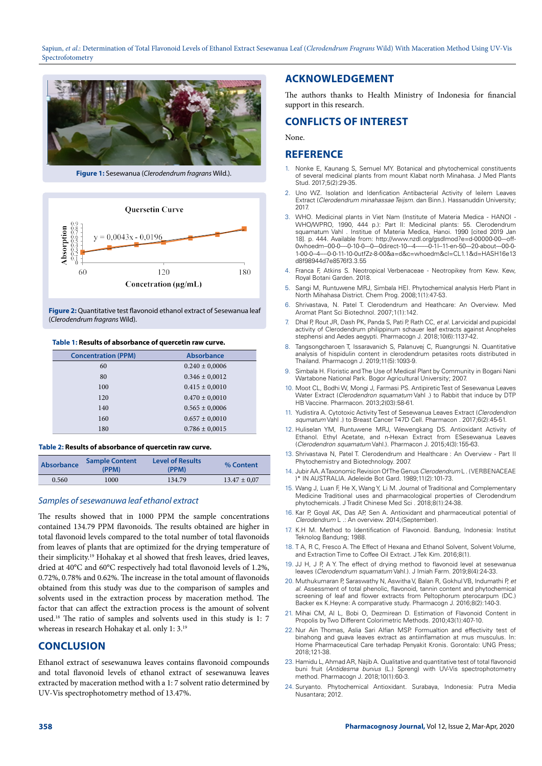

**Figure 1:** Sesewanua (*Clerodendrum fragrans* Wild.).



Figure 2: Quantitative test flavonoid ethanol extract of Sesewanua leaf (*Clerodendrum fragrans* Wild).

#### **Table 1: Results of absorbance of quercetin raw curve.**

| <b>Concentration (PPM)</b> | <b>Absorbance</b>  |  |
|----------------------------|--------------------|--|
| 60                         | $0.240 \pm 0,0006$ |  |
| 80                         | $0.346 \pm 0.0012$ |  |
| 100                        | $0.415 \pm 0.0010$ |  |
| 120                        | $0.470 \pm 0.0010$ |  |
| 140                        | $0.565 \pm 0,0006$ |  |
| 160                        | $0.657 \pm 0.0010$ |  |
| 180                        | $0.786 \pm 0.0015$ |  |

#### **Table 2: Results of absorbance of quercetin raw curve.**

| Absorbance | <b>Sample Content</b><br>(PPM) | <b>Level of Results</b><br>(PPM) | % Content        |
|------------|--------------------------------|----------------------------------|------------------|
| 0.560      | 1000                           | 134.79                           | $13.47 \pm 0.07$ |
|            |                                |                                  |                  |

#### *Samples of sesewanuwa leaf ethanol extract*

The results showed that in 1000 PPM the sample concentrations contained 134.79 PPM flavonoids. The results obtained are higher in total flavonoid levels compared to the total number of total flavonoids from leaves of plants that are optimized for the drying temperature of their simplicity.19 Hohakay et al showed that fresh leaves, dried leaves, dried at 40°C and 60°C respectively had total flavonoid levels of 1.2%, 0.72%, 0.78% and 0.62%. The increase in the total amount of flavonoids obtained from this study was due to the comparison of samples and solvents used in the extraction process by maceration method. The factor that can affect the extraction process is the amount of solvent used.18 The ratio of samples and solvents used in this study is 1: 7 whereas in research Hohakay et al. only 1: 3.19

#### **CONCLUSION**

Ethanol extract of sesewanuwa leaves contains flavonoid compounds and total flavonoid levels of ethanol extract of sesewanuwa leaves extracted by maceration method with a 1: 7 solvent ratio determined by UV-Vis spectrophotometry method of 13.47%.

# **ACKNOWLEDGEMENT**

The authors thanks to Health Ministry of Indonesia for financial support in this research.

# **CONFLICTS OF INTEREST**

None.

#### **REFERENCE**

- Nonke E, Kaunang S, Semuel MY. Botanical and phytochemical constituents of several medicinal plants from mount Klabat north Minahasa. J Med Plants Stud. 2017;5(2):29-35.
- 2. Uno WZ. Isolation and Idenfication Antibacterial Activity of leilem Leaves Extract (*Clerodendrum minahassae Teijsm*. dan Binn.). Hassanuddin University; 2017.
- 3. WHO. Medicinal plants in Viet Nam (Institute of Materia Medica HANOI WHO/WPRO, 1990, 444 p.): Part II: Medicinal plants: 55. Clerodendrum squamatum Vahl . Institue of Materia Medica, Hanoi. 1990 [cited 2019 Jan 18]. p. 444. Available from: http://www.nzdl.org/gsdlmod?e=d-00000-00---off-0whoedm--00-0----0-10-0---0---0direct-10---4-------0-1l--11-en-50---20-about---00-0- 1-00-0--4----0-0-11-10-0utfZz-8-00&a=d&c=whoedm&cl=CL1.1&d=HASH16e13 d8f98944d7e8576f3.3.55
- 4. Franca F, Atkins S. Neotropical Verbenaceae Neotropikey from Kew. Kew, Royal Botani Garden. 2018.
- 5. Sangi M, Runtuwene MRJ, Simbala HEI. Phytochemical analysis Herb Plant in North Mihahasa District. Chem Prog. 2008;1(1):47-53.
- 6. Shrivastava, N. Patel T. Clerodendrum and Heathcare: An Overview. Med Aromat Plant Sci Biotechnol. 2007;1(1):142.
- 7. Dhal P, Rout JR, Dash PK, Panda S, Pati P, Rath CC, *et al.* Larvicidal and pupicidal activity of Clerodendrum philippinum schauer leaf extracts against Anopheles stephensi and Aedes aegypti. Pharmacogn J. 2018;10(6):1137-42.
- 8. Tangsongcharoen T, Issaravanich S, Palanuvej C, Ruangrungsi N. Quantitative analysis of hispidulin content in clerodendrum petasites roots distributed in Thailand. Pharmacogn J. 2019;11(5):1093-9.
- 9. Simbala H. Floristic and The Use of Medical Plant by Community in Bogani Nani Wartabone National Park. Bogor Agricultural University; 2007.
- 10. Moot CL, Bodhi W, Mongi J, Farmasi PS. Antipiretic Test of Sesewanua Leaves Water Extract (*Clerodendron squamatum* Vahl .) to Rabbit that induce by DTP HB Vaccine. Pharmacon. 2013;2(03):58-61.
- 11. Yudistira A. Cytotoxic Activity Test of Sesewanua Leaves Extract (*Clerodendron squmatum* Vahl .) to Breast Cancer T47D Cell. Pharmacon . 2017;6(2):45-51.
- 12. Huliselan YM, Runtuwene MRJ, Wewengkang DS. Antioxidant Activity of Ethanol. Ethyl Acetate, and n-Hexan Extract from ESesewanua Leaves (*Clerodendron squamatum* Vahl.). Pharmacon J. 2015;4(3):155-63.
- 13. Shrivastava N, Patel T. Clerodendrum and Healthcare : An Overview Part II Phytochemistry and Biotechnology. 2007.
- 14. Jubir AA. A Taxonomic Revision Of The Genus *Clerodendrum* L . ( VERBENACEAE )\* IN AUSTRALIA. Adeleide Bot Gard. 1989;11(2):101-73.
- 15. Wang J, Luan F, He X, Wang Y, Li M. Journal of Traditional and Complementary Medicine Traditional uses and pharmacological properties of Clerodendrum phytochemicals. J Tradit Chinese Med Sci . 2018;8(1):24-38.
- 16. Kar P, Goyal AK, Das AP, Sen A. Antioxidant and pharmaceutical potential of *Clerodendrum* L .: An overview. 2014;(September).
- 17. K.H M. Method to Identification of Flavonoid. Bandung, Indonesia: Institut Teknolog Bandung; 1988.
- 18. T A, R C, Fresco A. The Effect of Hexana and Ethanol Solvent, Solvent Volume, and Extraction Time to Coffee Oil Extract. J Tek Kim. 2016;8(1).
- 19. JJ H, J P, A Y. The effect of drying method to flavonoid level at sesewanua leaves (*Clerodendrum squamatum* Vahl.). J Imiah Farm. 2019;8(4):24-33.
- 20. Muthukumaran P, Saraswathy N, Aswitha V, Balan R, Gokhul VB, Indumathi P, *et al.* Assessment of total phenolic, flavonoid, tannin content and phytochemical screening of leaf and flower extracts from Peltophorum pterocarpum (DC.) Backer ex K.Heyne: A comparative study. Pharmacogn J. 2016;8(2):140-3.
- 21. Mihai CM, Al L, Bobi O, Dezmirean D. Estimation of Flavonoid Content in Propolis by Two Different Colorimetric Methods. 2010;43(1):407-10.
- 22. Nur Ain Thomas, Aslia Sari Alfian MSP. Formualtion and effectivity test of binahong and guava leaves extract as antiinflamation at mus musculus. In: Home Pharmaceutical Care terhadap Penyakit Kronis. Gorontalo: UNG Press; 2018;121-38.
- 23. Hamidu L, Ahmad AR, Najib A. Qualitative and quantitative test of total flavonoid buni fruit (*Antidesma bunius* (L.) Spreng) with UV-Vis spectrophotometry method. Pharmacogn J. 2018;10(1):60-3.
- 24. Suryanto. Phytochemical Antioxidant. Surabaya, Indonesia: Putra Media Nusantara; 2012.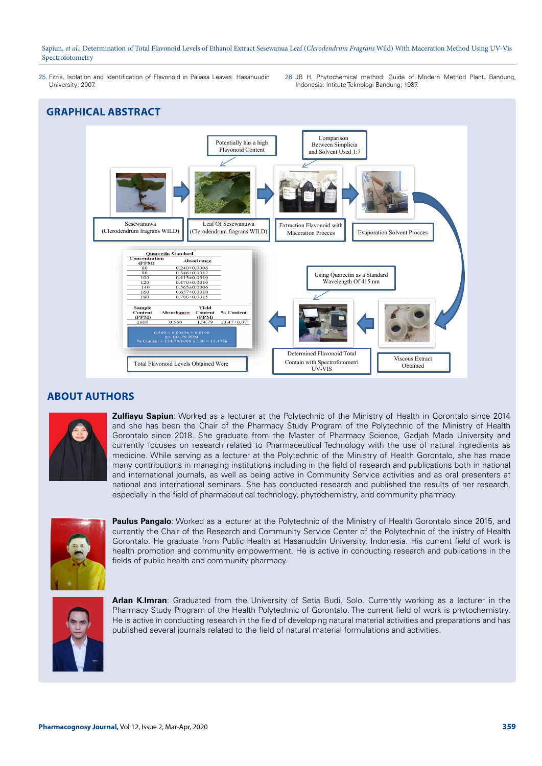- 25. Fitria. Isolation and Identification of Flavonoid in Paliasa Leaves. Hasanuudin University; 2007.
- 26. JB H. Phytochemical method: Guide of Modern Method Plant. Bandung, Indonesia: Intitute Teknologi Bandung; 1987.





# **ABOUT AUTHORS**



**Zulfiayu Sapiun**: Worked as a lecturer at the Polytechnic of the Ministry of Health in Gorontalo since 2014 and she has been the Chair of the Pharmacy Study Program of the Polytechnic of the Ministry of Health Gorontalo since 2018. She graduate from the Master of Pharmacy Science, Gadjah Mada University and currently focuses on research related to Pharmaceutical Technology with the use of natural ingredients as medicine. While serving as a lecturer at the Polytechnic of the Ministry of Health Gorontalo, she has made many contributions in managing institutions including in the field of research and publications both in national and international journals, as well as being active in Community Service activities and as oral presenters at national and international seminars. She has conducted research and published the results of her research, especially in the field of pharmaceutical technology, phytochemistry, and community pharmacy.



Paulus Pangalo: Worked as a lecturer at the Polytechnic of the Ministry of Health Gorontalo since 2015, and currently the Chair of the Research and Community Service Center of the Polytechnic of the inistry of Health Gorontalo. He graduate from Public Health at Hasanuddin University, Indonesia. His current field of work is health promotion and community empowerment. He is active in conducting research and publications in the fields of public health and community pharmacy.



**Arlan K.Imran**: Graduated from the University of Setia Budi, Solo. Currently working as a lecturer in the Pharmacy Study Program of the Health Polytechnic of Gorontalo. The current field of work is phytochemistry. He is active in conducting research in the field of developing natural material activities and preparations and has published several journals related to the field of natural material formulations and activities.